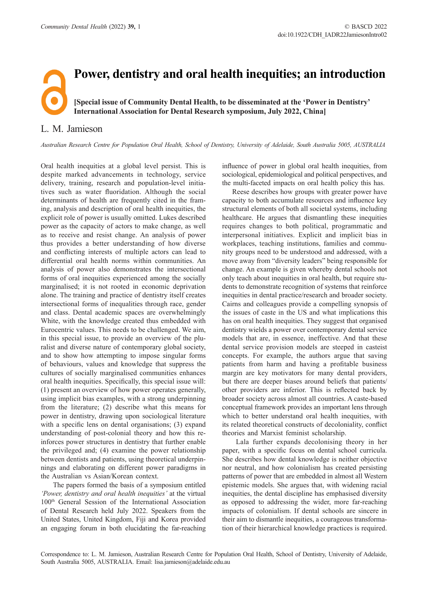## **Power, dentistry and oral health inequities; an introduction [Special issue of Community Dental Health, to be disseminated at the 'Power in Dentistry' International Association for Dental Research symposium, July 2022, China]**

## L. M. Jamieson

*Australian Research Centre for Population Oral Health, School of Dentistry, University of Adelaide, South Australia 5005, AUSTRALIA*

Oral health inequities at a global level persist. This is despite marked advancements in technology, service delivery, training, research and population-level initiatives such as water fluoridation. Although the social determinants of health are frequently cited in the framing, analysis and description of oral health inequities, the explicit role of power is usually omitted. Lukes described power as the capacity of actors to make change, as well as to receive and resist change. An analysis of power thus provides a better understanding of how diverse and conflicting interests of multiple actors can lead to differential oral health norms within communities. An analysis of power also demonstrates the intersectional forms of oral inequities experienced among the socially marginalised; it is not rooted in economic deprivation alone. The training and practice of dentistry itself creates intersectional forms of inequalities through race, gender and class. Dental academic spaces are overwhelmingly White, with the knowledge created thus embedded with Eurocentric values. This needs to be challenged. We aim, in this special issue, to provide an overview of the pluralist and diverse nature of contemporary global society, and to show how attempting to impose singular forms of behaviours, values and knowledge that suppress the cultures of socially marginalised communities enhances oral health inequities. Specifically, this special issue will: (1) present an overview of how power operates generally, using implicit bias examples, with a strong underpinning from the literature; (2) describe what this means for power in dentistry, drawing upon sociological literature with a specific lens on dental organisations; (3) expand understanding of post-colonial theory and how this reinforces power structures in dentistry that further enable the privileged and; (4) examine the power relationship between dentists and patients, using theoretical underpinnings and elaborating on different power paradigms in the Australian vs Asian/Korean context.

The papers formed the basis of a symposium entitled *'Power, dentistry and oral health inequities'* at the virtual 100th General Session of the International Association of Dental Research held July 2022. Speakers from the United States, United Kingdom, Fiji and Korea provided an engaging forum in both elucidating the far-reaching

influence of power in global oral health inequities, from sociological, epidemiological and political perspectives, and the multi-faceted impacts on oral health policy this has.

Reese describes how groups with greater power have capacity to both accumulate resources and influence key structural elements of both all societal systems, including healthcare. He argues that dismantling these inequities requires changes to both political, programmatic and interpersonal initiatives. Explicit and implicit bias in workplaces, teaching institutions, families and community groups need to be understood and addressed, with a move away from "diversity leaders" being responsible for change. An example is given whereby dental schools not only teach about inequities in oral health, but require students to demonstrate recognition of systems that reinforce inequities in dental practice/research and broader society. Cairns and colleagues provide a compelling synopsis of the issues of caste in the US and what implications this has on oral health inequities. They suggest that organised dentistry wields a power over contemporary dental service models that are, in essence, ineffective. And that these dental service provision models are steeped in casteist concepts. For example, the authors argue that saving patients from harm and having a profitable business margin are key motivators for many dental providers, but there are deeper biases around beliefs that patients/ other providers are inferior. This is reflected back by broader society across almost all countries. A caste-based conceptual framework provides an important lens through which to better understand oral health inequities, with its related theoretical constructs of decoloniality, conflict theories and Marxist feminist scholarship.

 Lala further expands decolonising theory in her paper, with a specific focus on dental school curricula. She describes how dental knowledge is neither objective nor neutral, and how colonialism has created persisting patterns of power that are embedded in almost all Western epistemic models. She argues that, with widening racial inequities, the dental discipline has emphasised diversity as opposed to addressing the wider, more far-reaching impacts of colonialism. If dental schools are sincere in their aim to dismantle inequities, a courageous transformation of their hierarchical knowledge practices is required.

Correspondence to: L. M. Jamieson, Australian Research Centre for Population Oral Health, School of Dentistry, University of Adelaide, South Australia 5005, AUSTRALIA. Email: [lisa.jamieson@adelaide.edu.au](mailto:lisa.jamieson@adelaide.edu.au)